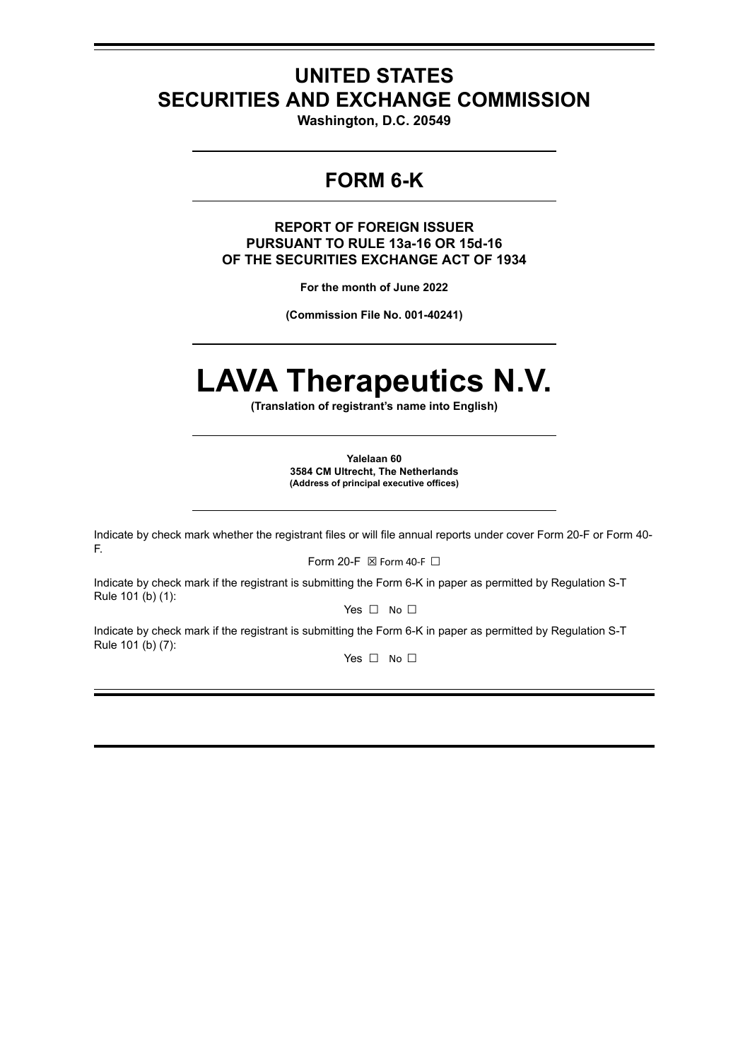## **UNITED STATES SECURITIES AND EXCHANGE COMMISSION**

**Washington, D.C. 20549**

## **FORM 6-K**

**REPORT OF FOREIGN ISSUER PURSUANT TO RULE 13a-16 OR 15d-16 OF THE SECURITIES EXCHANGE ACT OF 1934**

**For the month of June 2022**

**(Commission File No. 001-40241)**

# **LAVA Therapeutics N.V.**

**(Translation of registrant's name into English)**

**Yalelaan 60 3584 CM Ultrecht, The Netherlands (Address of principal executive offices)**

Indicate by check mark whether the registrant files or will file annual reports under cover Form 20-F or Form 40- F.

Form 20-F  $\boxtimes$  Form 40-F  $\Box$ 

Indicate by check mark if the registrant is submitting the Form 6-K in paper as permitted by Regulation S-T Rule 101 (b) (1):

Yes □ No □

Indicate by check mark if the registrant is submitting the Form 6-K in paper as permitted by Regulation S-T Rule 101 (b) (7):

Yes □ No □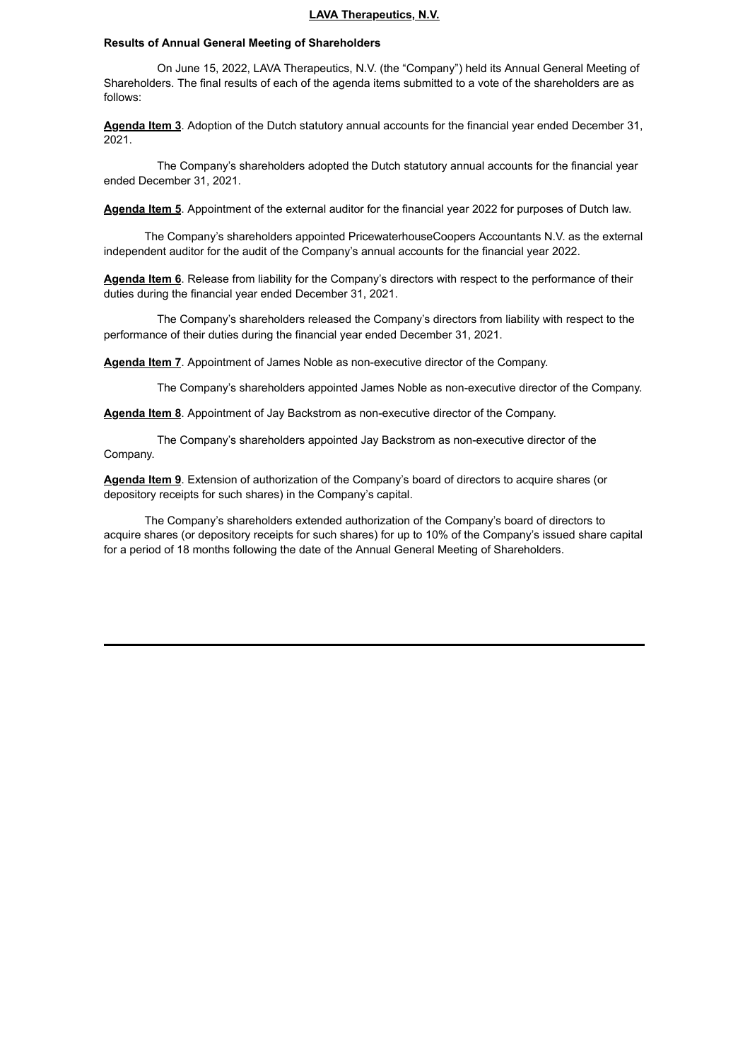#### **LAVA Therapeutics, N.V.**

#### **Results of Annual General Meeting of Shareholders**

On June 15, 2022, LAVA Therapeutics, N.V. (the "Company") held its Annual General Meeting of Shareholders. The final results of each of the agenda items submitted to a vote of the shareholders are as follows:

**Agenda Item 3**. Adoption of the Dutch statutory annual accounts for the financial year ended December 31, 2021.

The Company's shareholders adopted the Dutch statutory annual accounts for the financial year ended December 31, 2021.

**Agenda Item 5**. Appointment of the external auditor for the financial year 2022 for purposes of Dutch law.

The Company's shareholders appointed PricewaterhouseCoopers Accountants N.V. as the external independent auditor for the audit of the Company's annual accounts for the financial year 2022.

**Agenda Item 6**. Release from liability for the Company's directors with respect to the performance of their duties during the financial year ended December 31, 2021.

The Company's shareholders released the Company's directors from liability with respect to the performance of their duties during the financial year ended December 31, 2021.

**Agenda Item 7**. Appointment of James Noble as non-executive director of the Company.

The Company's shareholders appointed James Noble as non-executive director of the Company.

**Agenda Item 8**. Appointment of Jay Backstrom as non-executive director of the Company.

The Company's shareholders appointed Jay Backstrom as non-executive director of the Company.

**Agenda Item 9**. Extension of authorization of the Company's board of directors to acquire shares (or depository receipts for such shares) in the Company's capital.

The Company's shareholders extended authorization of the Company's board of directors to acquire shares (or depository receipts for such shares) for up to 10% of the Company's issued share capital for a period of 18 months following the date of the Annual General Meeting of Shareholders.